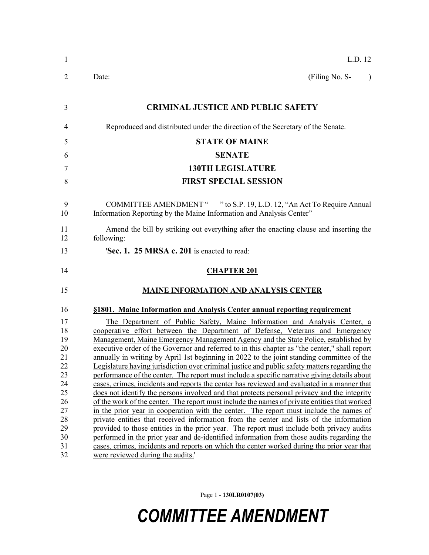| $\mathbf{1}$ | L.D. 12                                                                                                                                                                                    |
|--------------|--------------------------------------------------------------------------------------------------------------------------------------------------------------------------------------------|
| 2            | (Filing No. S-<br>Date:<br>$\lambda$                                                                                                                                                       |
| 3            | <b>CRIMINAL JUSTICE AND PUBLIC SAFETY</b>                                                                                                                                                  |
| 4            | Reproduced and distributed under the direction of the Secretary of the Senate.                                                                                                             |
| 5            | <b>STATE OF MAINE</b>                                                                                                                                                                      |
| 6            | <b>SENATE</b>                                                                                                                                                                              |
| 7            | <b>130TH LEGISLATURE</b>                                                                                                                                                                   |
| 8            | <b>FIRST SPECIAL SESSION</b>                                                                                                                                                               |
| 9<br>10      | COMMITTEE AMENDMENT " " to S.P. 19, L.D. 12, "An Act To Require Annual<br>Information Reporting by the Maine Information and Analysis Center"                                              |
| 11<br>12     | Amend the bill by striking out everything after the enacting clause and inserting the<br>following:                                                                                        |
| 13           | Sec. 1. 25 MRSA c. 201 is enacted to read:                                                                                                                                                 |
| 14           | <b>CHAPTER 201</b>                                                                                                                                                                         |
| 15           | <b>MAINE INFORMATION AND ANALYSIS CENTER</b>                                                                                                                                               |
| 16           | §1801. Maine Information and Analysis Center annual reporting requirement                                                                                                                  |
| 17           | The Department of Public Safety, Maine Information and Analysis Center, a                                                                                                                  |
| 18           | cooperative effort between the Department of Defense, Veterans and Emergency                                                                                                               |
| 19           | Management, Maine Emergency Management Agency and the State Police, established by                                                                                                         |
| 20<br>21     | executive order of the Governor and referred to in this chapter as "the center," shall report<br>annually in writing by April 1st beginning in 2022 to the joint standing committee of the |
| 22           | Legislature having jurisdiction over criminal justice and public safety matters regarding the                                                                                              |
| 23           | performance of the center. The report must include a specific narrative giving details about                                                                                               |
| 24           | cases, crimes, incidents and reports the center has reviewed and evaluated in a manner that                                                                                                |
| 25           | does not identify the persons involved and that protects personal privacy and the integrity                                                                                                |
| 26           | of the work of the center. The report must include the names of private entities that worked                                                                                               |
| 27           | in the prior year in cooperation with the center. The report must include the names of                                                                                                     |
| 28           | private entities that received information from the center and lists of the information                                                                                                    |
| 29           | provided to those entities in the prior year. The report must include both privacy audits                                                                                                  |
|              |                                                                                                                                                                                            |
| 30           | performed in the prior year and de-identified information from those audits regarding the                                                                                                  |
| 31<br>32     | cases, crimes, incidents and reports on which the center worked during the prior year that<br>were reviewed during the audits.                                                             |

Page 1 - **130LR0107(03)**

## *COMMITTEE AMENDMENT*